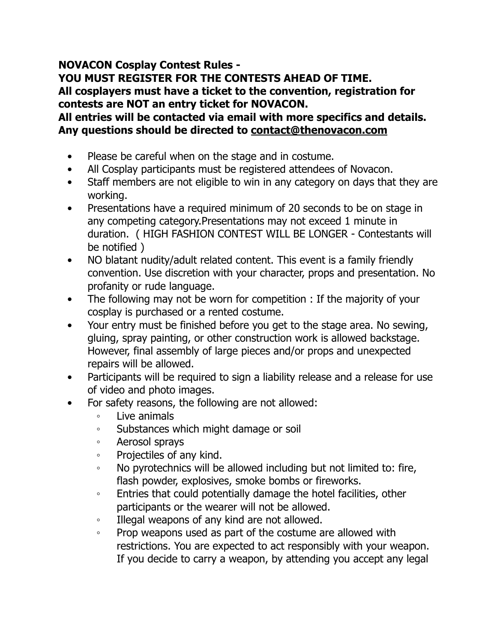## **NOVACON Cosplay Contest Rules -**

**YOU MUST REGISTER FOR THE CONTESTS AHEAD OF TIME. All cosplayers must have a ticket to the convention, registration for contests are NOT an entry ticket for NOVACON.** 

**All entries will be contacted via email with more specifics and details. Any questions should be directed to [contact@thenovacon.com](mailto:contact@thenovacon.com)**

- Please be careful when on the stage and in costume.
- All Cosplay participants must be registered attendees of Novacon.
- Staff members are not eligible to win in any category on days that they are working.
- Presentations have a required minimum of 20 seconds to be on stage in any competing category.Presentations may not exceed 1 minute in duration. ( HIGH FASHION CONTEST WILL BE LONGER - Contestants will be notified )
- NO blatant nudity/adult related content. This event is a family friendly convention. Use discretion with your character, props and presentation. No profanity or rude language.
- The following may not be worn for competition : If the majority of your cosplay is purchased or a rented costume.
- Your entry must be finished before you get to the stage area. No sewing, gluing, spray painting, or other construction work is allowed backstage. However, final assembly of large pieces and/or props and unexpected repairs will be allowed.
- Participants will be required to sign a liability release and a release for use of video and photo images.
- For safety reasons, the following are not allowed:
	- Live animals
	- Substances which might damage or soil
	- Aerosol sprays
	- Projectiles of any kind.
	- No pyrotechnics will be allowed including but not limited to: fire, flash powder, explosives, smoke bombs or fireworks.
	- Entries that could potentially damage the hotel facilities, other participants or the wearer will not be allowed.
	- Illegal weapons of any kind are not allowed.
	- Prop weapons used as part of the costume are allowed with restrictions. You are expected to act responsibly with your weapon. If you decide to carry a weapon, by attending you accept any legal